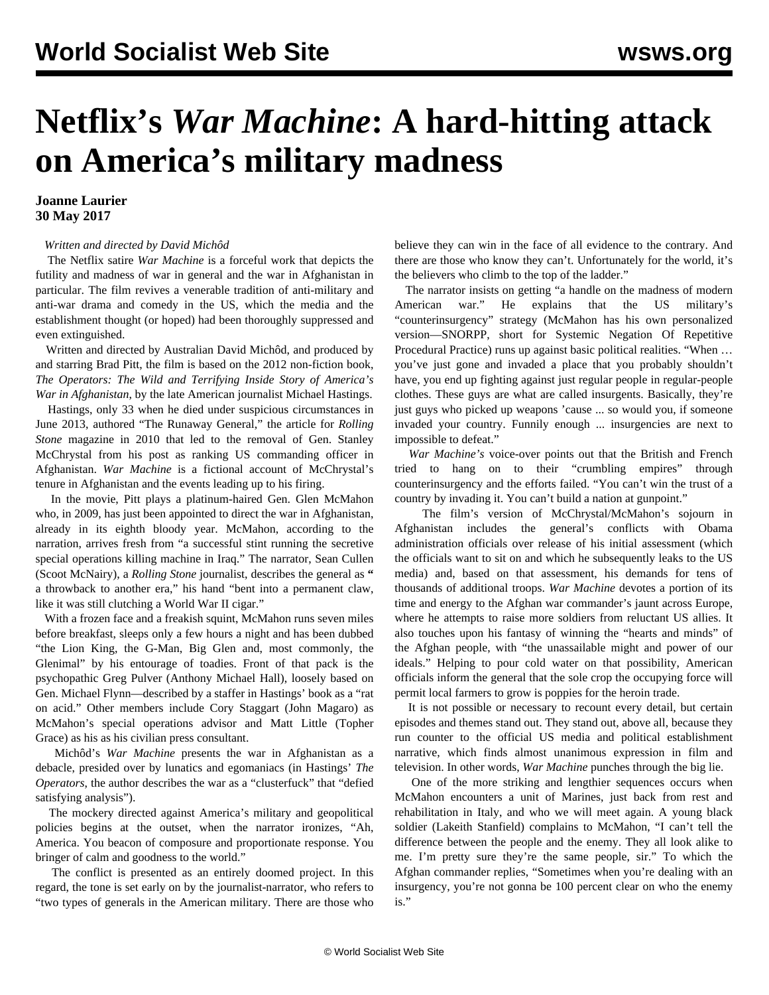## **Netflix's** *War Machine***: A hard-hitting attack on America's military madness**

## **Joanne Laurier 30 May 2017**

## *Written and directed by David Michôd*

 The Netflix satire *War Machine* is a forceful work that depicts the futility and madness of war in general and the war in Afghanistan in particular. The film revives a venerable tradition of anti-military and anti-war drama and comedy in the US, which the media and the establishment thought (or hoped) had been thoroughly suppressed and even extinguished.

 Written and directed by Australian David Michôd, and produced by and starring Brad Pitt, the film is based on the 2012 non-fiction book, *The Operators: The Wild and Terrifying Inside Story of America's War in Afghanistan*, by the late American journalist Michael Hastings.

 Hastings, only 33 when he died under suspicious circumstances in June 2013, authored "The Runaway General," the article for *Rolling Stone* magazine in 2010 that led to the removal of Gen. Stanley McChrystal from his post as ranking US commanding officer in Afghanistan. *War Machine* is a fictional account of McChrystal's tenure in Afghanistan and the events leading up to his firing.

 In the movie, Pitt plays a platinum-haired Gen. Glen McMahon who, in 2009, has just been appointed to direct the war in Afghanistan, already in its eighth bloody year. McMahon, according to the narration, arrives fresh from "a successful stint running the secretive special operations killing machine in Iraq." The narrator, Sean Cullen (Scoot McNairy), a *Rolling Stone* journalist, describes the general as **"** a throwback to another era," his hand "bent into a permanent claw, like it was still clutching a World War II cigar."

 With a frozen face and a freakish squint, McMahon runs seven miles before breakfast, sleeps only a few hours a night and has been dubbed "the Lion King, the G-Man, Big Glen and, most commonly, the Glenimal" by his entourage of toadies. Front of that pack is the psychopathic Greg Pulver (Anthony Michael Hall), loosely based on Gen. Michael Flynn—described by a staffer in Hastings' book as a "rat on acid." Other members include Cory Staggart (John Magaro) as McMahon's special operations advisor and Matt Little (Topher Grace) as his as his civilian press consultant.

 Michôd's *War Machine* presents the war in Afghanistan as a debacle, presided over by lunatics and egomaniacs (in Hastings' *The Operators*, the author describes the war as a "clusterfuck" that "defied satisfying analysis").

 The mockery directed against America's military and geopolitical policies begins at the outset, when the narrator ironizes, "Ah, America. You beacon of composure and proportionate response. You bringer of calm and goodness to the world."

 The conflict is presented as an entirely doomed project. In this regard, the tone is set early on by the journalist-narrator, who refers to "two types of generals in the American military. There are those who believe they can win in the face of all evidence to the contrary. And there are those who know they can't. Unfortunately for the world, it's the believers who climb to the top of the ladder."

 The narrator insists on getting "a handle on the madness of modern American war." He explains that the US military's "counterinsurgency" strategy (McMahon has his own personalized version—SNORPP, short for Systemic Negation Of Repetitive Procedural Practice) runs up against basic political realities. "When … you've just gone and invaded a place that you probably shouldn't have, you end up fighting against just regular people in regular-people clothes. These guys are what are called insurgents. Basically, they're just guys who picked up weapons 'cause ... so would you, if someone invaded your country. Funnily enough ... insurgencies are next to impossible to defeat."

 *War Machine's* voice-over points out that the British and French tried to hang on to their "crumbling empires" through counterinsurgency and the efforts failed. "You can't win the trust of a country by invading it. You can't build a nation at gunpoint."

 The film's version of McChrystal/McMahon's sojourn in Afghanistan includes the general's conflicts with Obama administration officials over release of his initial assessment (which the officials want to sit on and which he subsequently leaks to the US media) and, based on that assessment, his demands for tens of thousands of additional troops. *War Machine* devotes a portion of its time and energy to the Afghan war commander's jaunt across Europe, where he attempts to raise more soldiers from reluctant US allies. It also touches upon his fantasy of winning the "hearts and minds" of the Afghan people, with "the unassailable might and power of our ideals." Helping to pour cold water on that possibility, American officials inform the general that the sole crop the occupying force will permit local farmers to grow is poppies for the heroin trade.

 It is not possible or necessary to recount every detail, but certain episodes and themes stand out. They stand out, above all, because they run counter to the official US media and political establishment narrative, which finds almost unanimous expression in film and television. In other words, *War Machine* punches through the big lie.

 One of the more striking and lengthier sequences occurs when McMahon encounters a unit of Marines, just back from rest and rehabilitation in Italy, and who we will meet again. A young black soldier (Lakeith Stanfield) complains to McMahon, "I can't tell the difference between the people and the enemy. They all look alike to me. I'm pretty sure they're the same people, sir." To which the Afghan commander replies, "Sometimes when you're dealing with an insurgency, you're not gonna be 100 percent clear on who the enemy is."